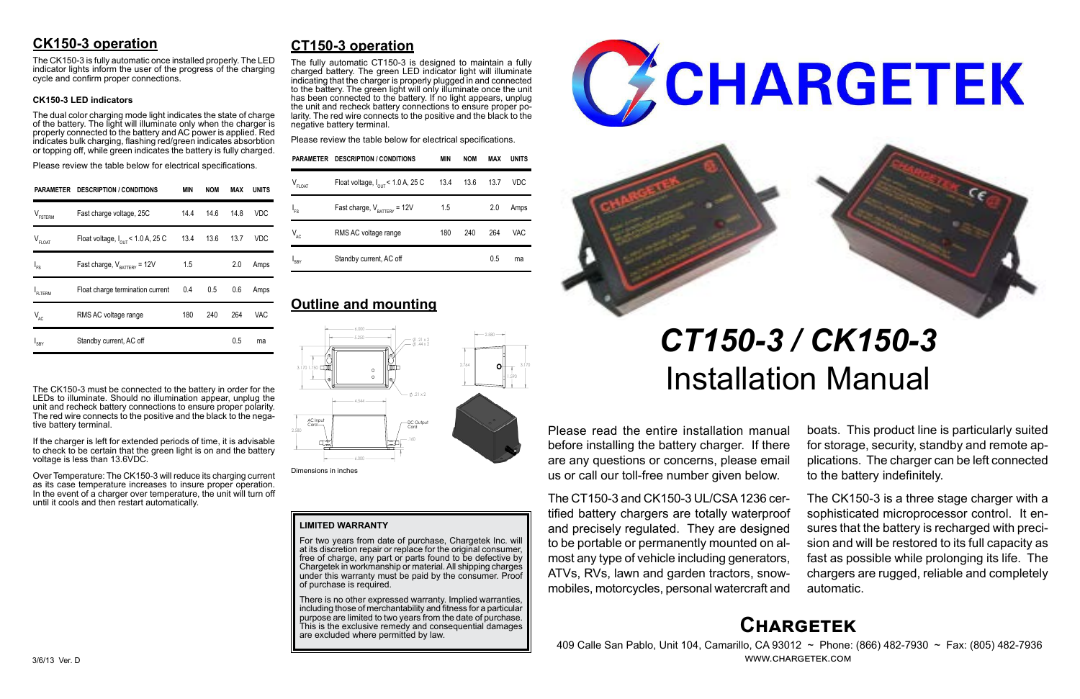# **Chargetek**

 409 Calle San Pablo, Unit 104, Camarillo, CA 93012 ~ Phone: (866) 482-7930 ~ Fax: (805) 482-7936 www.chargetek.com

# **CK150-3 operation**

The dual color charging mode light indicates the state of charge of the battery. The light will illuminate only when the charger is properly connected to the battery and AC power is applied. Red indicates bulk charging, flashing red/green indicates absorbtion or topping off, while green indicates the battery is fully charged.

The CK150-3 is fully automatic once installed properly. The LED indicator lights inform the user of the progress of the charging cycle and confirm proper connections.

#### **CK150-3 LED indicators**

Please review the table below for electrical specifications.

The CK150-3 must be connected to the battery in order for the LEDs to illuminate. Should no illumination appear, unplug the unit and recheck battery connections to ensure proper polarity. The red wire connects to the positive and the black to the negative battery terminal.

If the charger is left for extended periods of time, it is advisable to check to be certain that the green light is on and the battery voltage is less than 13.6VDC.

Over Temperature: The CK150-3 will reduce its charging current as its case temperature increases to insure proper operation. In the event of a charger over temperature, the unit will turn off until it cools and then restart automatically.

Please read the entire installation manual before installing the battery charger. If there are any questions or concerns, please email us or call our toll-free number given below.

There is no other expressed warranty. Implied warranties, including those of merchantability and fitness for a particular purpose are limited to two years from the date of purchase. This is the exclusive remedy and consequential damages are excluded where permitted by law.





The CT150-3 and CK150-3 UL/CSA 1236 certified battery chargers are totally waterproof and precisely regulated. They are designed to be portable or permanently mounted on almost any type of vehicle including generators, ATVs, RVs, lawn and garden tractors, snowmobiles, motorcycles, personal watercraft and

boats. This product line is particularly suited for storage, security, standby and remote applications. The charger can be left connected to the battery indefinitely.

The CK150-3 is a three stage charger with a sophisticated microprocessor control. It ensures that the battery is recharged with precision and will be restored to its full capacity as fast as possible while prolonging its life. The chargers are rugged, reliable and completely automatic.

# **CT150-3 operation**

The fully automatic CT150-3 is designed to maintain a fully charged battery. The green LED indicator light will illuminate indicating that the charger is properly plugged in and connected to the battery. The green light will only illuminate once the unit has been connected to the battery. If no light appears, unplug the unit and recheck battery connections to ensure proper polarity. The red wire connects to the positive and the black to the negative battery terminal.

Please review the table below for electrical specifications.

# *CT150-3 / CK150-3* Installation Manual

#### **LIMITED WARRANTY**

For two years from date of purchase, Chargetek Inc. will at its discretion repair or replace for the original consumer, free of charge, any part or parts found to be defective by Chargetek in workmanship or material. All shipping charges under this warranty must be paid by the consumer. Proof of purchase is required.

| PARAMETER           | <b>DESCRIPTION / CONDITIONS</b>               | MIN  | <b>NOM</b> | MAX  | UNITS |
|---------------------|-----------------------------------------------|------|------------|------|-------|
| $V_{\text{FSTERM}}$ | Fast charge voltage, 25C                      | 14.4 | 14.6       | 14.8 | VDC   |
| $V_{FLOAT}$         | Float voltage, $I_{\text{OUT}}$ < 1.0 A, 25 C | 13.4 | 13.6       | 13.7 | VDC   |
| $I_{FS}$            | Fast charge, $V_{\text{rATTARY}}$ = 12V       | 1.5  |            | 2.0  | Amps  |
| FLTERM              | Float charge termination current              | 0.4  | 0.5        | 0.6  | Amps  |
| $V_{AC}$            | RMS AC voltage range                          | 180  | 240        | 264  | VAC   |
| <sup>I</sup> SBY    | Standby current, AC off                       |      |            | 0.5  | ma    |

|             | PARAMETER DESCRIPTION / CONDITIONS            | MIN  | <b>NOM</b> | <b>MAX</b> | <b>UNITS</b> |
|-------------|-----------------------------------------------|------|------------|------------|--------------|
| $V_{FLOAT}$ | Float voltage, $I_{\text{OUT}}$ < 1.0 A, 25 C | 13.4 | 13.6       | 13.7       | <b>VDC</b>   |
| $I_{FS}$    | Fast charge, $V_{\text{BATTERY}} = 12V$       | 1.5  |            | 2.0        | Amps         |
| $V_{AC}$    | RMS AC voltage range                          | 180  | 240        | 264        | VAC          |
| $I_{SBY}$   | Standby current, AC off                       |      |            | 0.5        | ma           |

# **Outline and mounting**